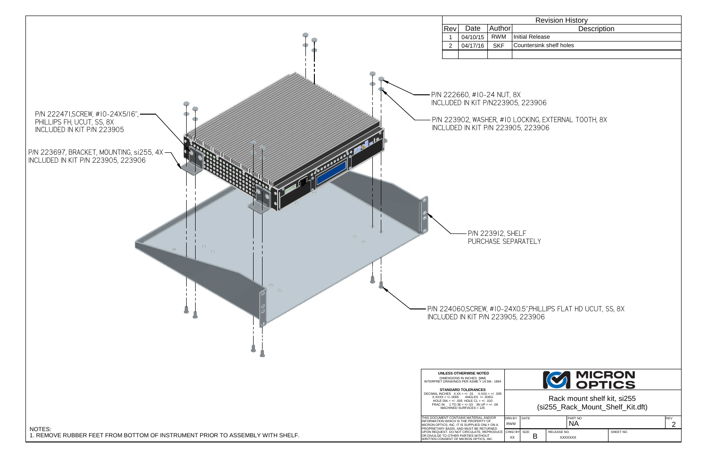Rack mount shelf kit, si255(si255\_Rack\_Mount\_Shelf\_Kit.dft)

| DRN BY<br><b>RWM</b> | <b>DATE</b> | <b>PART NO</b>                |           | <b>IREV</b><br>╭ |
|----------------------|-------------|-------------------------------|-----------|------------------|
| CHKD BY SIZE<br>XX   |             | RELEASE NO.<br><b>XXXXXXX</b> | SHEET NO. |                  |



Revision History

Initial Release

Countersink shelf holes

P/N 224060,SCREW, #10-24X0.5",PHILLIPS FLAT HD UCUT, SS, 8X